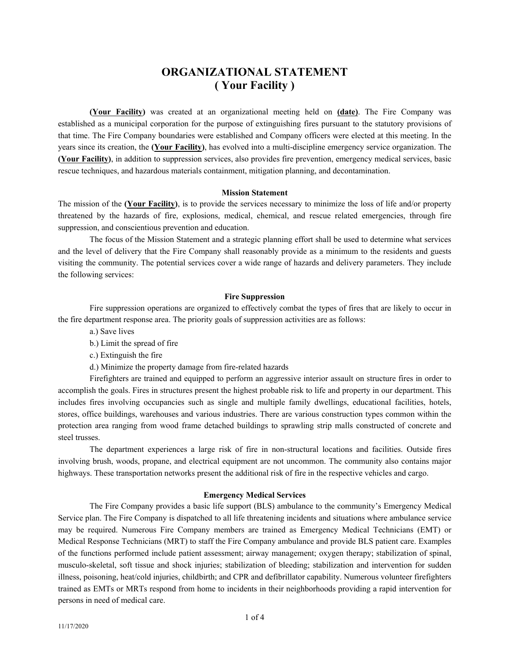# **ORGANIZATIONAL STATEMENT ( Your Facility )**

**(Your Facility)** was created at an organizational meeting held on **(date)**. The Fire Company was established as a municipal corporation for the purpose of extinguishing fires pursuant to the statutory provisions of that time. The Fire Company boundaries were established and Company officers were elected at this meeting. In the years since its creation, the **(Your Facility)**, has evolved into a multi-discipline emergency service organization. The **(Your Facility)**, in addition to suppression services, also provides fire prevention, emergency medical services, basic rescue techniques, and hazardous materials containment, mitigation planning, and decontamination.

#### **Mission Statement**

The mission of the **(Your Facility)**, is to provide the services necessary to minimize the loss of life and/or property threatened by the hazards of fire, explosions, medical, chemical, and rescue related emergencies, through fire suppression, and conscientious prevention and education.

The focus of the Mission Statement and a strategic planning effort shall be used to determine what services and the level of delivery that the Fire Company shall reasonably provide as a minimum to the residents and guests visiting the community. The potential services cover a wide range of hazards and delivery parameters. They include the following services:

### **Fire Suppression**

Fire suppression operations are organized to effectively combat the types of fires that are likely to occur in the fire department response area. The priority goals of suppression activities are as follows:

- a.) Save lives
- b.) Limit the spread of fire
- c.) Extinguish the fire
- d.) Minimize the property damage from fire-related hazards

Firefighters are trained and equipped to perform an aggressive interior assault on structure fires in order to accomplish the goals. Fires in structures present the highest probable risk to life and property in our department. This includes fires involving occupancies such as single and multiple family dwellings, educational facilities, hotels, stores, office buildings, warehouses and various industries. There are various construction types common within the protection area ranging from wood frame detached buildings to sprawling strip malls constructed of concrete and steel trusses.

The department experiences a large risk of fire in non-structural locations and facilities. Outside fires involving brush, woods, propane, and electrical equipment are not uncommon. The community also contains major highways. These transportation networks present the additional risk of fire in the respective vehicles and cargo.

### **Emergency Medical Services**

The Fire Company provides a basic life support (BLS) ambulance to the community's Emergency Medical Service plan. The Fire Company is dispatched to all life threatening incidents and situations where ambulance service may be required. Numerous Fire Company members are trained as Emergency Medical Technicians (EMT) or Medical Response Technicians (MRT) to staff the Fire Company ambulance and provide BLS patient care. Examples of the functions performed include patient assessment; airway management; oxygen therapy; stabilization of spinal, musculo-skeletal, soft tissue and shock injuries; stabilization of bleeding; stabilization and intervention for sudden illness, poisoning, heat/cold injuries, childbirth; and CPR and defibrillator capability. Numerous volunteer firefighters trained as EMTs or MRTs respond from home to incidents in their neighborhoods providing a rapid intervention for persons in need of medical care.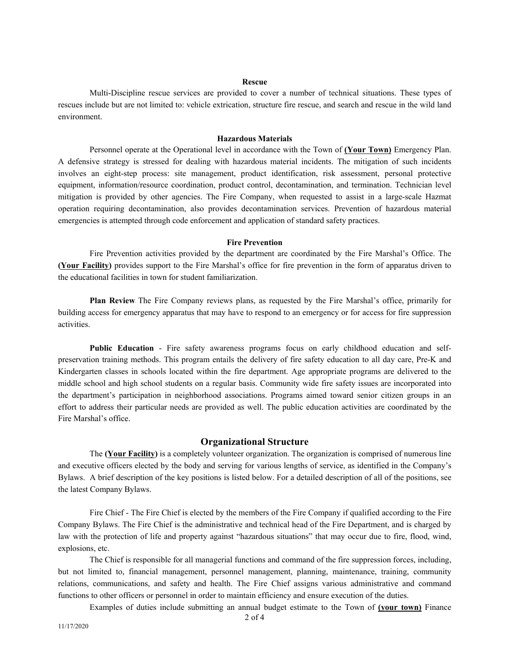## **Rescue**

Multi-Discipline rescue services are provided to cover a number of technical situations. These types of rescues include but are not limited to: vehicle extrication, structure fire rescue, and search and rescue in the wild land environment.

#### **Hazardous Materials**

Personnel operate at the Operational level in accordance with the Town of **(Your Town)** Emergency Plan. A defensive strategy is stressed for dealing with hazardous material incidents. The mitigation of such incidents involves an eight-step process: site management, product identification, risk assessment, personal protective equipment, information/resource coordination, product control, decontamination, and termination. Technician level mitigation is provided by other agencies. The Fire Company, when requested to assist in a large-scale Hazmat operation requiring decontamination, also provides decontamination services. Prevention of hazardous material emergencies is attempted through code enforcement and application of standard safety practices.

### **Fire Prevention**

Fire Prevention activities provided by the department are coordinated by the Fire Marshal's Office. The **(Your Facility)** provides support to the Fire Marshal's office for fire prevention in the form of apparatus driven to the educational facilities in town for student familiarization.

**Plan Review**- The Fire Company reviews plans, as requested by the Fire Marshal's office, primarily for building access for emergency apparatus that may have to respond to an emergency or for access for fire suppression activities.

**Public Education** - Fire safety awareness programs focus on early childhood education and selfpreservation training methods. This program entails the delivery of fire safety education to all day care, Pre-K and Kindergarten classes in schools located within the fire department. Age appropriate programs are delivered to the middle school and high school students on a regular basis. Community wide fire safety issues are incorporated into the department's participation in neighborhood associations. Programs aimed toward senior citizen groups in an effort to address their particular needs are provided as well. The public education activities are coordinated by the Fire Marshal's office.

### **Organizational Structure**

The **(Your Facility)** is a completely volunteer organization. The organization is comprised of numerous line and executive officers elected by the body and serving for various lengths of service, as identified in the Company's Bylaws. A brief description of the key positions is listed below. For a detailed description of all of the positions, see the latest Company Bylaws.

Fire Chief - The Fire Chief is elected by the members of the Fire Company if qualified according to the Fire Company Bylaws. The Fire Chief is the administrative and technical head of the Fire Department, and is charged by law with the protection of life and property against "hazardous situations" that may occur due to fire, flood, wind, explosions, etc.

The Chief is responsible for all managerial functions and command of the fire suppression forces, including, but not limited to, financial management, personnel management, planning, maintenance, training, community relations, communications, and safety and health. The Fire Chief assigns various administrative and command functions to other officers or personnel in order to maintain efficiency and ensure execution of the duties.

Examples of duties include submitting an annual budget estimate to the Town of **(your town)** Finance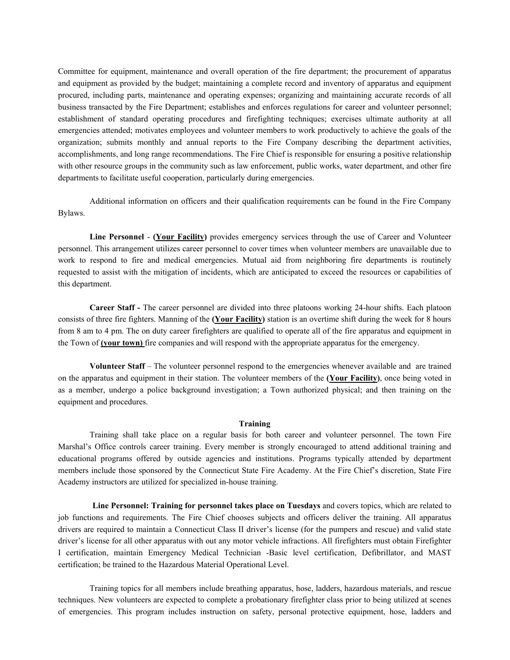Committee for equipment, maintenance and overall operation of the fire department; the procurement of apparatus and equipment as provided by the budget; maintaining a complete record and inventory of apparatus and equipment procured, including parts, maintenance and operating expenses; organizing and maintaining accurate records of all business transacted by the Fire Department; establishes and enforces regulations for career and volunteer personnel; establishment of standard operating procedures and firefighting techniques; exercises ultimate authority at all emergencies attended; motivates employees and volunteer members to work productively to achieve the goals of the organization; submits monthly and annual reports to the Fire Company describing the department activities, accomplishments, and long range recommendations. The Fire Chief is responsible for ensuring a positive relationship with other resource groups in the community such as law enforcement, public works, water department, and other fire departments to facilitate useful cooperation, particularly during emergencies.

Additional information on officers and their qualification requirements can be found in the Fire Company Bylaws.

**Line Personnel** - **(Your Facility)** provides emergency services through the use of Career and Volunteer personnel. This arrangement utilizes career personnel to cover times when volunteer members are unavailable due to work to respond to fire and medical emergencies. Mutual aid from neighboring fire departments is routinely requested to assist with the mitigation of incidents, which are anticipated to exceed the resources or capabilities of this department.

**Career Staff -** The career personnel are divided into three platoons working 24-hour shifts. Each platoon consists of three fire fighters. Manning of the **(Your Facility)** station is an overtime shift during the week for 8 hours from 8 am to 4 pm. The on duty career firefighters are qualified to operate all of the fire apparatus and equipment in the Town of **(your town)** fire companies and will respond with the appropriate apparatus for the emergency.

**Volunteer Staff** – The volunteer personnel respond to the emergencies whenever available and are trained on the apparatus and equipment in their station. The volunteer members of the **(Your Facility)**, once being voted in as a member, undergo a police background investigation; a Town authorized physical; and then training on the equipment and procedures.

#### **Training**

Training shall take place on a regular basis for both career and volunteer personnel. The town Fire Marshal's Office controls career training. Every member is strongly encouraged to attend additional training and educational programs offered by outside agencies and institutions. Programs typically attended by department members include those sponsored by the Connecticut State Fire Academy. At the Fire Chief's discretion, State Fire Academy instructors are utilized for specialized in-house training.

**Line Personnel: Training for personnel takes place on Tuesdays** and covers topics, which are related to job functions and requirements. The Fire Chief chooses subjects and officers deliver the training. All apparatus drivers are required to maintain a Connecticut Class II driver's license (for the pumpers and rescue) and valid state driver's license for all other apparatus with out any motor vehicle infractions. All firefighters must obtain Firefighter I certification, maintain Emergency Medical Technician -Basic level certification, Defibrillator, and MAST certification; be trained to the Hazardous Material Operational Level.

Training topics for all members include breathing apparatus, hose, ladders, hazardous materials, and rescue techniques. New volunteers are expected to complete a probationary firefighter class prior to being utilized at scenes of emergencies. This program includes instruction on safety, personal protective equipment, hose, ladders and